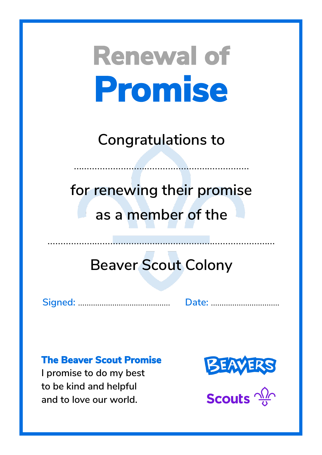**Congratulations to**

……………………………………………….…………

**for renewing their promise as a member of the**

## **Beaver Scout Colony**

**Signed:** ……………...……………………. **Date:** …………………....…….

#### **The Beaver Scout Promise**

**I promise to do my best to be kind and helpful and to love our world.**



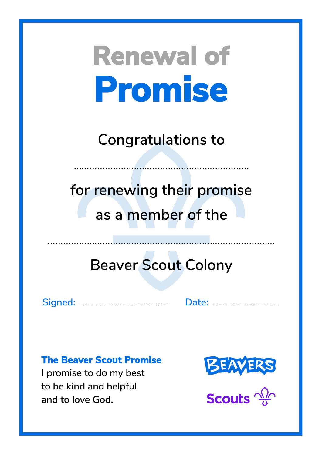**Congratulations to**

……………………………………………….…………

**for renewing their promise as a member of the**

## **Beaver Scout Colony**

**Signed:** ……………...……………………. **Date:** …………………....…….

#### **The Beaver Scout Promise**

**I promise to do my best to be kind and helpful and to love God.**



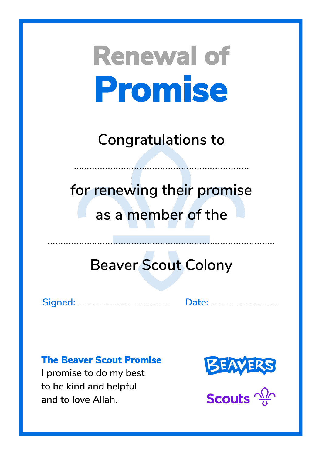**Congratulations to**

……………………………………………….…………

**for renewing their promise as a member of the**

## **Beaver Scout Colony**

**Signed:** ……………...……………………. **Date:** …………………....…….

#### **The Beaver Scout Promise**

**I promise to do my best to be kind and helpful and to love Allah.**



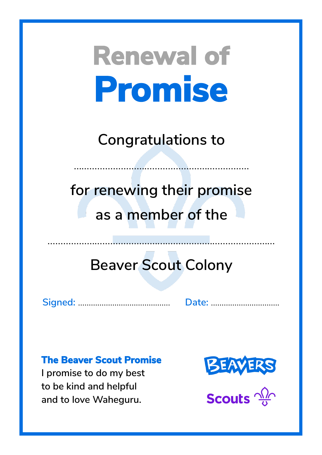**Congratulations to**

……………………………………………….…………

**for renewing their promise as a member of the**

## **Beaver Scout Colony**

**Signed:** ……………...……………………. **Date:** …………………....…….

#### **The Beaver Scout Promise**

**I promise to do my best to be kind and helpful and to love Waheguru.**



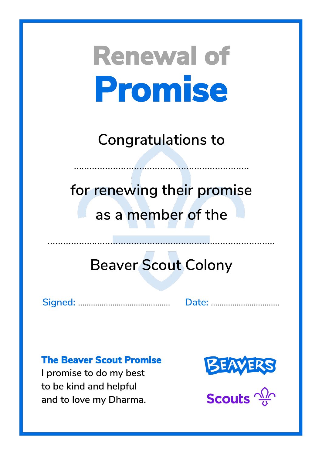**Congratulations to**

……………………………………………….…………

**for renewing their promise as a member of the**

## **Beaver Scout Colony**

**Signed:** ……………...……………………. **Date:** …………………....…….

#### **The Beaver Scout Promise**

**I promise to do my best to be kind and helpful and to love my Dharma.**



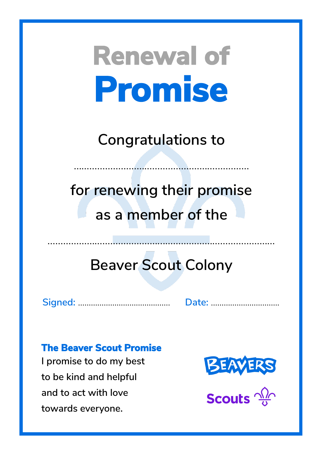**Congratulations to**

……………………………………………….…………

**for renewing their promise as a member of the**

## **Beaver Scout Colony**

**Signed:** ……………...……………………. **Date:** …………………....…….

#### **The Beaver Scout Promise**

**I promise to do my best to be kind and helpful and to act with love towards everyone.**